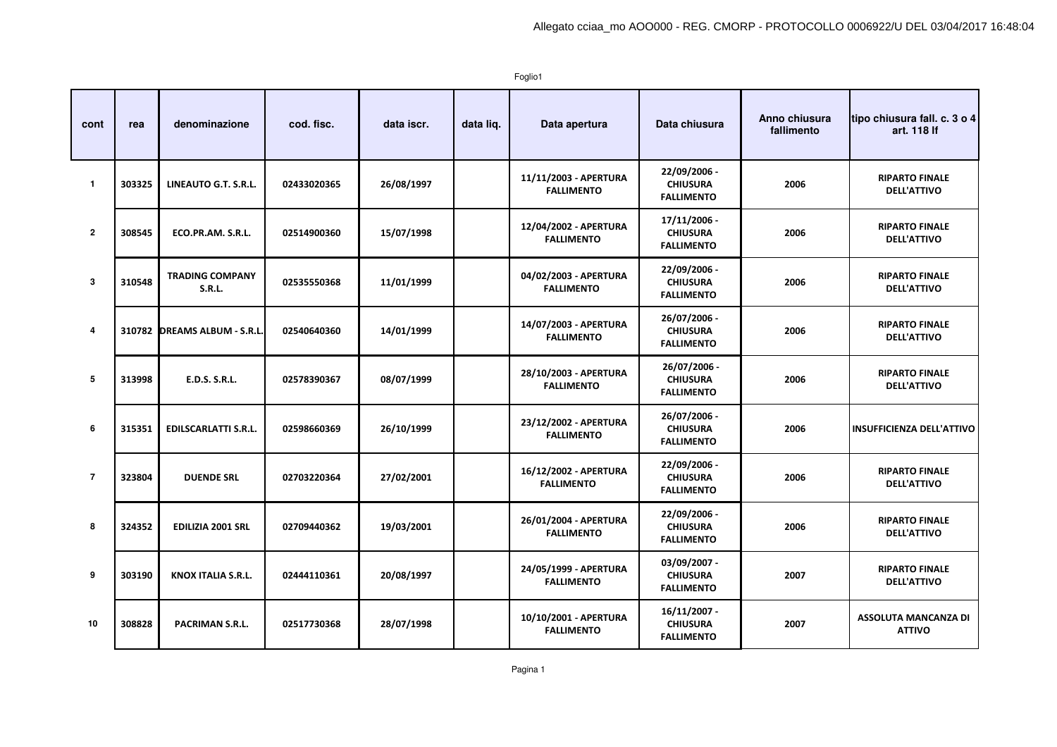Foglio1

| cont           | rea    | denominazione                           | cod. fisc.  | data iscr. | data liq. | Data apertura                              | Data chiusura                                        | Anno chiusura<br>fallimento | tipo chiusura fall. c. 3 o 4<br>art. 118 If  |
|----------------|--------|-----------------------------------------|-------------|------------|-----------|--------------------------------------------|------------------------------------------------------|-----------------------------|----------------------------------------------|
| $\overline{1}$ | 303325 | LINEAUTO G.T. S.R.L.                    | 02433020365 | 26/08/1997 |           | 11/11/2003 - APERTURA<br><b>FALLIMENTO</b> | 22/09/2006 -<br><b>CHIUSURA</b><br><b>FALLIMENTO</b> | 2006                        | <b>RIPARTO FINALE</b><br><b>DELL'ATTIVO</b>  |
| $\overline{2}$ | 308545 | ECO.PR.AM. S.R.L.                       | 02514900360 | 15/07/1998 |           | 12/04/2002 - APERTURA<br><b>FALLIMENTO</b> | 17/11/2006 -<br><b>CHIUSURA</b><br><b>FALLIMENTO</b> | 2006                        | <b>RIPARTO FINALE</b><br><b>DELL'ATTIVO</b>  |
| 3              | 310548 | <b>TRADING COMPANY</b><br><b>S.R.L.</b> | 02535550368 | 11/01/1999 |           | 04/02/2003 - APERTURA<br><b>FALLIMENTO</b> | 22/09/2006 -<br><b>CHIUSURA</b><br><b>FALLIMENTO</b> | 2006                        | <b>RIPARTO FINALE</b><br><b>DELL'ATTIVO</b>  |
| 4              |        | 310782 DREAMS ALBUM - S.R.L.            | 02540640360 | 14/01/1999 |           | 14/07/2003 - APERTURA<br><b>FALLIMENTO</b> | 26/07/2006 -<br><b>CHIUSURA</b><br><b>FALLIMENTO</b> | 2006                        | <b>RIPARTO FINALE</b><br><b>DELL'ATTIVO</b>  |
| 5              | 313998 | <b>E.D.S. S.R.L.</b>                    | 02578390367 | 08/07/1999 |           | 28/10/2003 - APERTURA<br><b>FALLIMENTO</b> | 26/07/2006 -<br><b>CHIUSURA</b><br><b>FALLIMENTO</b> | 2006                        | <b>RIPARTO FINALE</b><br><b>DELL'ATTIVO</b>  |
| 6              | 315351 | <b>EDILSCARLATTI S.R.L.</b>             | 02598660369 | 26/10/1999 |           | 23/12/2002 - APERTURA<br><b>FALLIMENTO</b> | 26/07/2006 -<br><b>CHIUSURA</b><br><b>FALLIMENTO</b> | 2006                        | <b>INSUFFICIENZA DELL'ATTIVO</b>             |
| $\overline{7}$ | 323804 | <b>DUENDE SRL</b>                       | 02703220364 | 27/02/2001 |           | 16/12/2002 - APERTURA<br><b>FALLIMENTO</b> | 22/09/2006 -<br><b>CHIUSURA</b><br><b>FALLIMENTO</b> | 2006                        | <b>RIPARTO FINALE</b><br><b>DELL'ATTIVO</b>  |
| 8              | 324352 | <b>EDILIZIA 2001 SRL</b>                | 02709440362 | 19/03/2001 |           | 26/01/2004 - APERTURA<br><b>FALLIMENTO</b> | 22/09/2006 -<br><b>CHIUSURA</b><br><b>FALLIMENTO</b> | 2006                        | <b>RIPARTO FINALE</b><br><b>DELL'ATTIVO</b>  |
| 9              | 303190 | <b>KNOX ITALIA S.R.L.</b>               | 02444110361 | 20/08/1997 |           | 24/05/1999 - APERTURA<br><b>FALLIMENTO</b> | 03/09/2007 -<br><b>CHIUSURA</b><br><b>FALLIMENTO</b> | 2007                        | <b>RIPARTO FINALE</b><br><b>DELL'ATTIVO</b>  |
| 10             | 308828 | PACRIMAN S.R.L.                         | 02517730368 | 28/07/1998 |           | 10/10/2001 - APERTURA<br><b>FALLIMENTO</b> | 16/11/2007 -<br><b>CHIUSURA</b><br><b>FALLIMENTO</b> | 2007                        | <b>ASSOLUTA MANCANZA DI</b><br><b>ATTIVO</b> |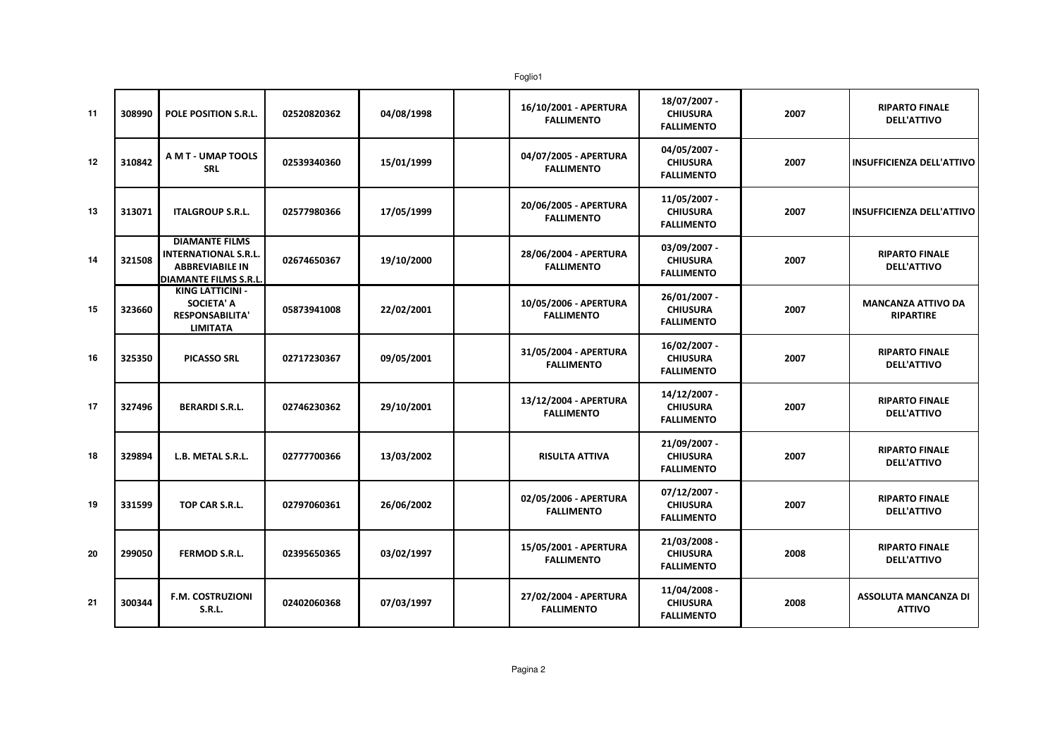| 11 | 308990 | <b>POLE POSITION S.R.L.</b>                                                                             | 02520820362 | 04/08/1998 | 16/10/2001 - APERTURA<br><b>FALLIMENTO</b> | 18/07/2007 -<br><b>CHIUSURA</b><br><b>FALLIMENTO</b> | 2007 | <b>RIPARTO FINALE</b><br><b>DELL'ATTIVO</b>   |
|----|--------|---------------------------------------------------------------------------------------------------------|-------------|------------|--------------------------------------------|------------------------------------------------------|------|-----------------------------------------------|
| 12 | 310842 | A M T - UMAP TOOLS<br><b>SRL</b>                                                                        | 02539340360 | 15/01/1999 | 04/07/2005 - APERTURA<br><b>FALLIMENTO</b> | 04/05/2007 -<br><b>CHIUSURA</b><br><b>FALLIMENTO</b> | 2007 | <b>INSUFFICIENZA DELL'ATTIVO</b>              |
| 13 | 313071 | <b>ITALGROUP S.R.L.</b>                                                                                 | 02577980366 | 17/05/1999 | 20/06/2005 - APERTURA<br><b>FALLIMENTO</b> | 11/05/2007 -<br><b>CHIUSURA</b><br><b>FALLIMENTO</b> | 2007 | <b>INSUFFICIENZA DELL'ATTIVO</b>              |
| 14 | 321508 | <b>DIAMANTE FILMS</b><br><b>INTERNATIONAL S.R.L.</b><br><b>ABBREVIABILE IN</b><br>DIAMANTE FILMS S.R.L. | 02674650367 | 19/10/2000 | 28/06/2004 - APERTURA<br><b>FALLIMENTO</b> | 03/09/2007 -<br><b>CHIUSURA</b><br><b>FALLIMENTO</b> | 2007 | <b>RIPARTO FINALE</b><br><b>DELL'ATTIVO</b>   |
| 15 | 323660 | <b>KING LATTICINI -</b><br><b>SOCIETA' A</b><br><b>RESPONSABILITA'</b><br><b>LIMITATA</b>               | 05873941008 | 22/02/2001 | 10/05/2006 - APERTURA<br><b>FALLIMENTO</b> | 26/01/2007 -<br><b>CHIUSURA</b><br><b>FALLIMENTO</b> | 2007 | <b>MANCANZA ATTIVO DA</b><br><b>RIPARTIRE</b> |
| 16 | 325350 | <b>PICASSO SRL</b>                                                                                      | 02717230367 | 09/05/2001 | 31/05/2004 - APERTURA<br><b>FALLIMENTO</b> | 16/02/2007 -<br><b>CHIUSURA</b><br><b>FALLIMENTO</b> | 2007 | <b>RIPARTO FINALE</b><br><b>DELL'ATTIVO</b>   |
| 17 | 327496 | <b>BERARDI S.R.L.</b>                                                                                   | 02746230362 | 29/10/2001 | 13/12/2004 - APERTURA<br><b>FALLIMENTO</b> | 14/12/2007 -<br><b>CHIUSURA</b><br><b>FALLIMENTO</b> | 2007 | <b>RIPARTO FINALE</b><br><b>DELL'ATTIVO</b>   |
| 18 | 329894 | L.B. METAL S.R.L.                                                                                       | 02777700366 | 13/03/2002 | <b>RISULTA ATTIVA</b>                      | 21/09/2007 -<br><b>CHIUSURA</b><br><b>FALLIMENTO</b> | 2007 | <b>RIPARTO FINALE</b><br><b>DELL'ATTIVO</b>   |
| 19 | 331599 | TOP CAR S.R.L.                                                                                          | 02797060361 | 26/06/2002 | 02/05/2006 - APERTURA<br><b>FALLIMENTO</b> | 07/12/2007 -<br><b>CHIUSURA</b><br><b>FALLIMENTO</b> | 2007 | <b>RIPARTO FINALE</b><br><b>DELL'ATTIVO</b>   |
| 20 | 299050 | <b>FERMOD S.R.L.</b>                                                                                    | 02395650365 | 03/02/1997 | 15/05/2001 - APERTURA<br><b>FALLIMENTO</b> | 21/03/2008 -<br><b>CHIUSURA</b><br><b>FALLIMENTO</b> | 2008 | <b>RIPARTO FINALE</b><br><b>DELL'ATTIVO</b>   |
| 21 | 300344 | <b>F.M. COSTRUZIONI</b><br><b>S.R.L.</b>                                                                | 02402060368 | 07/03/1997 | 27/02/2004 - APERTURA<br><b>FALLIMENTO</b> | 11/04/2008 -<br><b>CHIUSURA</b><br><b>FALLIMENTO</b> | 2008 | <b>ASSOLUTA MANCANZA DI</b><br><b>ATTIVO</b>  |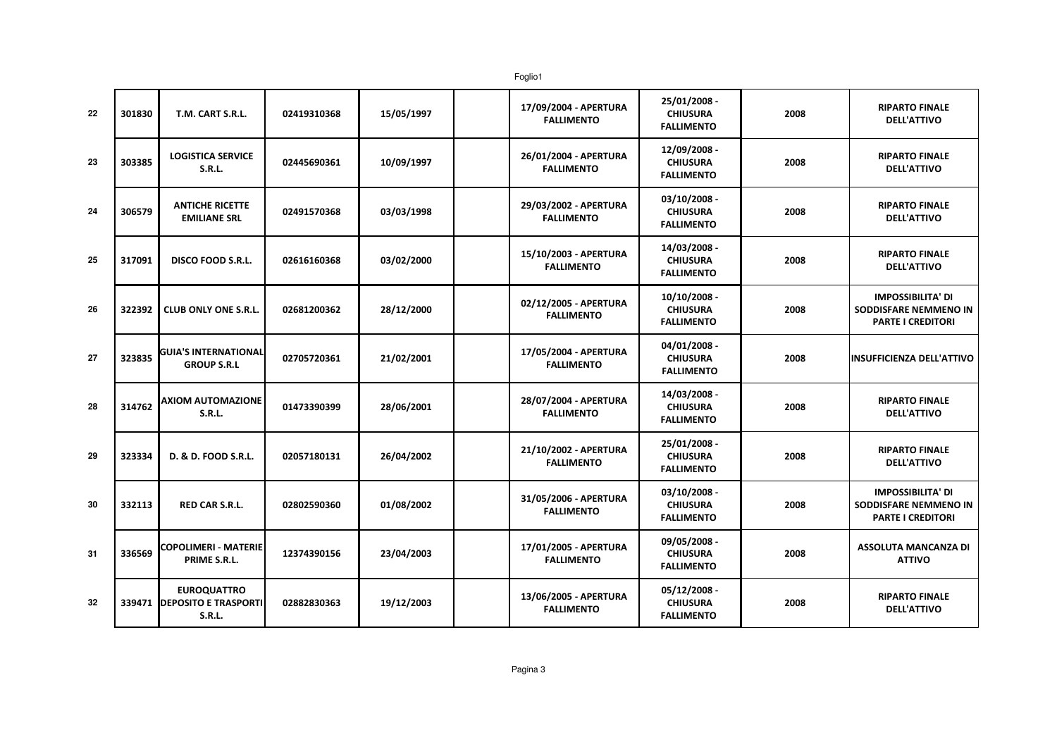| 22 | 301830 | T.M. CART S.R.L.                                              | 02419310368 | 15/05/1997 | 17/09/2004 - APERTURA<br><b>FALLIMENTO</b> | 25/01/2008 -<br><b>CHIUSURA</b><br><b>FALLIMENTO</b> | 2008 | <b>RIPARTO FINALE</b><br><b>DELL'ATTIVO</b>                                   |
|----|--------|---------------------------------------------------------------|-------------|------------|--------------------------------------------|------------------------------------------------------|------|-------------------------------------------------------------------------------|
| 23 | 303385 | <b>LOGISTICA SERVICE</b><br>S.R.L.                            | 02445690361 | 10/09/1997 | 26/01/2004 - APERTURA<br><b>FALLIMENTO</b> | 12/09/2008 -<br><b>CHIUSURA</b><br><b>FALLIMENTO</b> | 2008 | <b>RIPARTO FINALE</b><br><b>DELL'ATTIVO</b>                                   |
| 24 | 306579 | <b>ANTICHE RICETTE</b><br><b>EMILIANE SRL</b>                 | 02491570368 | 03/03/1998 | 29/03/2002 - APERTURA<br><b>FALLIMENTO</b> | 03/10/2008 -<br><b>CHIUSURA</b><br><b>FALLIMENTO</b> | 2008 | <b>RIPARTO FINALE</b><br><b>DELL'ATTIVO</b>                                   |
| 25 | 317091 | <b>DISCO FOOD S.R.L.</b>                                      | 02616160368 | 03/02/2000 | 15/10/2003 - APERTURA<br><b>FALLIMENTO</b> | 14/03/2008 -<br><b>CHIUSURA</b><br><b>FALLIMENTO</b> | 2008 | <b>RIPARTO FINALE</b><br><b>DELL'ATTIVO</b>                                   |
| 26 | 322392 | <b>CLUB ONLY ONE S.R.L.</b>                                   | 02681200362 | 28/12/2000 | 02/12/2005 - APERTURA<br><b>FALLIMENTO</b> | 10/10/2008 -<br><b>CHIUSURA</b><br><b>FALLIMENTO</b> | 2008 | <b>IMPOSSIBILITA' DI</b><br>SODDISFARE NEMMENO IN<br><b>PARTE I CREDITORI</b> |
| 27 | 323835 | <b>GUIA'S INTERNATIONAL</b><br><b>GROUP S.R.L</b>             | 02705720361 | 21/02/2001 | 17/05/2004 - APERTURA<br><b>FALLIMENTO</b> | 04/01/2008 -<br><b>CHIUSURA</b><br><b>FALLIMENTO</b> | 2008 | <b>INSUFFICIENZA DELL'ATTIVO</b>                                              |
| 28 | 314762 | <b>AXIOM AUTOMAZIONE</b><br><b>S.R.L.</b>                     | 01473390399 | 28/06/2001 | 28/07/2004 - APERTURA<br><b>FALLIMENTO</b> | 14/03/2008 -<br><b>CHIUSURA</b><br><b>FALLIMENTO</b> | 2008 | <b>RIPARTO FINALE</b><br><b>DELL'ATTIVO</b>                                   |
| 29 | 323334 | D. & D. FOOD S.R.L.                                           | 02057180131 | 26/04/2002 | 21/10/2002 - APERTURA<br><b>FALLIMENTO</b> | 25/01/2008 -<br><b>CHIUSURA</b><br><b>FALLIMENTO</b> | 2008 | <b>RIPARTO FINALE</b><br><b>DELL'ATTIVO</b>                                   |
| 30 | 332113 | <b>RED CAR S.R.L.</b>                                         | 02802590360 | 01/08/2002 | 31/05/2006 - APERTURA<br><b>FALLIMENTO</b> | 03/10/2008 -<br><b>CHIUSURA</b><br><b>FALLIMENTO</b> | 2008 | <b>IMPOSSIBILITA' DI</b><br>SODDISFARE NEMMENO IN<br><b>PARTE I CREDITORI</b> |
| 31 | 336569 | <b>COPOLIMERI - MATERIE</b><br>PRIME S.R.L.                   | 12374390156 | 23/04/2003 | 17/01/2005 - APERTURA<br><b>FALLIMENTO</b> | 09/05/2008 -<br><b>CHIUSURA</b><br><b>FALLIMENTO</b> | 2008 | <b>ASSOLUTA MANCANZA DI</b><br><b>ATTIVO</b>                                  |
| 32 |        | <b>EUROQUATTRO</b><br>339471   DEPOSITO E TRASPORTI<br>S.R.L. | 02882830363 | 19/12/2003 | 13/06/2005 - APERTURA<br><b>FALLIMENTO</b> | 05/12/2008 -<br><b>CHIUSURA</b><br><b>FALLIMENTO</b> | 2008 | <b>RIPARTO FINALE</b><br><b>DELL'ATTIVO</b>                                   |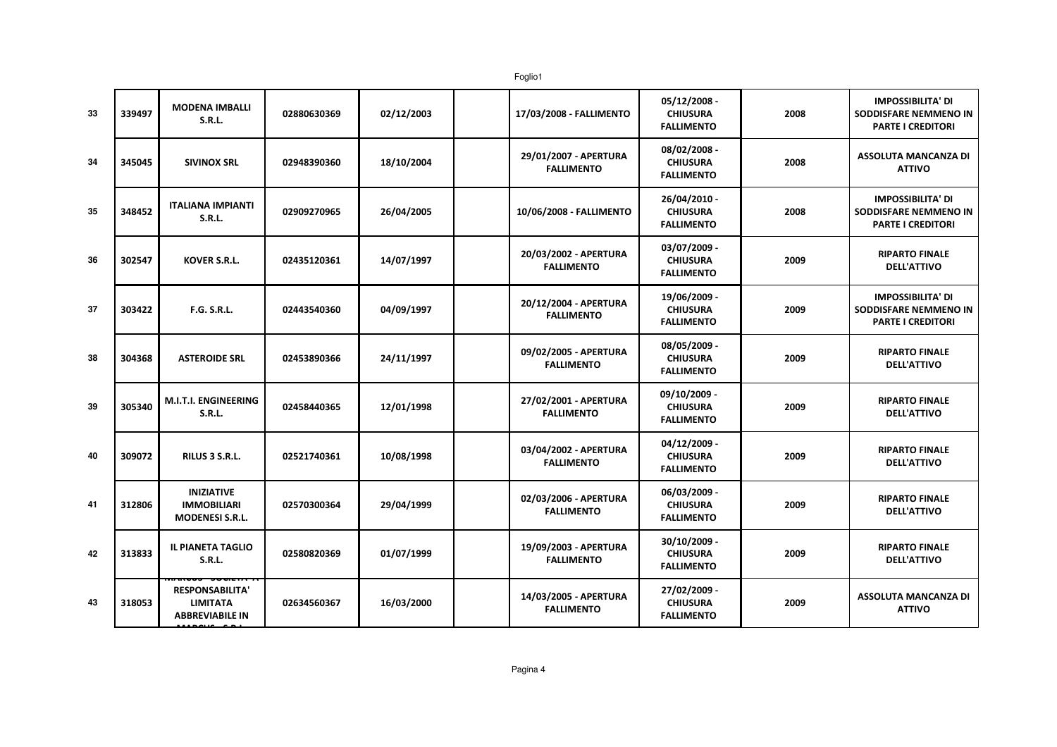Foglio1

| 33 | 339497 | <b>MODENA IMBALLI</b><br><b>S.R.L.</b>                              | 02880630369 | 02/12/2003 | 17/03/2008 - FALLIMENTO                    | 05/12/2008 -<br><b>CHIUSURA</b><br><b>FALLIMENTO</b> | 2008 | <b>IMPOSSIBILITA' DI</b><br>SODDISFARE NEMMENO IN<br><b>PARTE I CREDITORI</b> |
|----|--------|---------------------------------------------------------------------|-------------|------------|--------------------------------------------|------------------------------------------------------|------|-------------------------------------------------------------------------------|
| 34 | 345045 | <b>SIVINOX SRL</b>                                                  | 02948390360 | 18/10/2004 | 29/01/2007 - APERTURA<br><b>FALLIMENTO</b> | 08/02/2008 -<br><b>CHIUSURA</b><br><b>FALLIMENTO</b> | 2008 | <b>ASSOLUTA MANCANZA DI</b><br><b>ATTIVO</b>                                  |
| 35 | 348452 | <b>ITALIANA IMPIANTI</b><br><b>S.R.L.</b>                           | 02909270965 | 26/04/2005 | 10/06/2008 - FALLIMENTO                    | 26/04/2010 -<br><b>CHIUSURA</b><br><b>FALLIMENTO</b> | 2008 | <b>IMPOSSIBILITA' DI</b><br>SODDISFARE NEMMENO IN<br><b>PARTE I CREDITORI</b> |
| 36 | 302547 | <b>KOVER S.R.L.</b>                                                 | 02435120361 | 14/07/1997 | 20/03/2002 - APERTURA<br><b>FALLIMENTO</b> | 03/07/2009 -<br><b>CHIUSURA</b><br><b>FALLIMENTO</b> | 2009 | <b>RIPARTO FINALE</b><br><b>DELL'ATTIVO</b>                                   |
| 37 | 303422 | <b>F.G. S.R.L.</b>                                                  | 02443540360 | 04/09/1997 | 20/12/2004 - APERTURA<br><b>FALLIMENTO</b> | 19/06/2009 -<br><b>CHIUSURA</b><br><b>FALLIMENTO</b> | 2009 | <b>IMPOSSIBILITA' DI</b><br>SODDISFARE NEMMENO IN<br><b>PARTE I CREDITORI</b> |
| 38 | 304368 | <b>ASTEROIDE SRL</b>                                                | 02453890366 | 24/11/1997 | 09/02/2005 - APERTURA<br><b>FALLIMENTO</b> | 08/05/2009 -<br><b>CHIUSURA</b><br><b>FALLIMENTO</b> | 2009 | <b>RIPARTO FINALE</b><br><b>DELL'ATTIVO</b>                                   |
| 39 | 305340 | <b>M.I.T.I. ENGINEERING</b><br><b>S.R.L.</b>                        | 02458440365 | 12/01/1998 | 27/02/2001 - APERTURA<br><b>FALLIMENTO</b> | 09/10/2009 -<br><b>CHIUSURA</b><br><b>FALLIMENTO</b> | 2009 | <b>RIPARTO FINALE</b><br><b>DELL'ATTIVO</b>                                   |
| 40 | 309072 | RILUS 3 S.R.L.                                                      | 02521740361 | 10/08/1998 | 03/04/2002 - APERTURA<br><b>FALLIMENTO</b> | 04/12/2009 -<br><b>CHIUSURA</b><br><b>FALLIMENTO</b> | 2009 | <b>RIPARTO FINALE</b><br><b>DELL'ATTIVO</b>                                   |
| 41 | 312806 | <b>INIZIATIVE</b><br><b>IMMOBILIARI</b><br><b>MODENESI S.R.L.</b>   | 02570300364 | 29/04/1999 | 02/03/2006 - APERTURA<br><b>FALLIMENTO</b> | 06/03/2009 -<br><b>CHIUSURA</b><br><b>FALLIMENTO</b> | 2009 | <b>RIPARTO FINALE</b><br><b>DELL'ATTIVO</b>                                   |
| 42 | 313833 | <b>IL PIANETA TAGLIO</b><br><b>S.R.L.</b>                           | 02580820369 | 01/07/1999 | 19/09/2003 - APERTURA<br><b>FALLIMENTO</b> | 30/10/2009 -<br><b>CHIUSURA</b><br><b>FALLIMENTO</b> | 2009 | <b>RIPARTO FINALE</b><br><b>DELL'ATTIVO</b>                                   |
| 43 | 318053 | <b>RESPONSABILITA'</b><br><b>LIMITATA</b><br><b>ABBREVIABILE IN</b> | 02634560367 | 16/03/2000 | 14/03/2005 - APERTURA<br><b>FALLIMENTO</b> | 27/02/2009 -<br><b>CHIUSURA</b><br><b>FALLIMENTO</b> | 2009 | <b>ASSOLUTA MANCANZA DI</b><br><b>ATTIVO</b>                                  |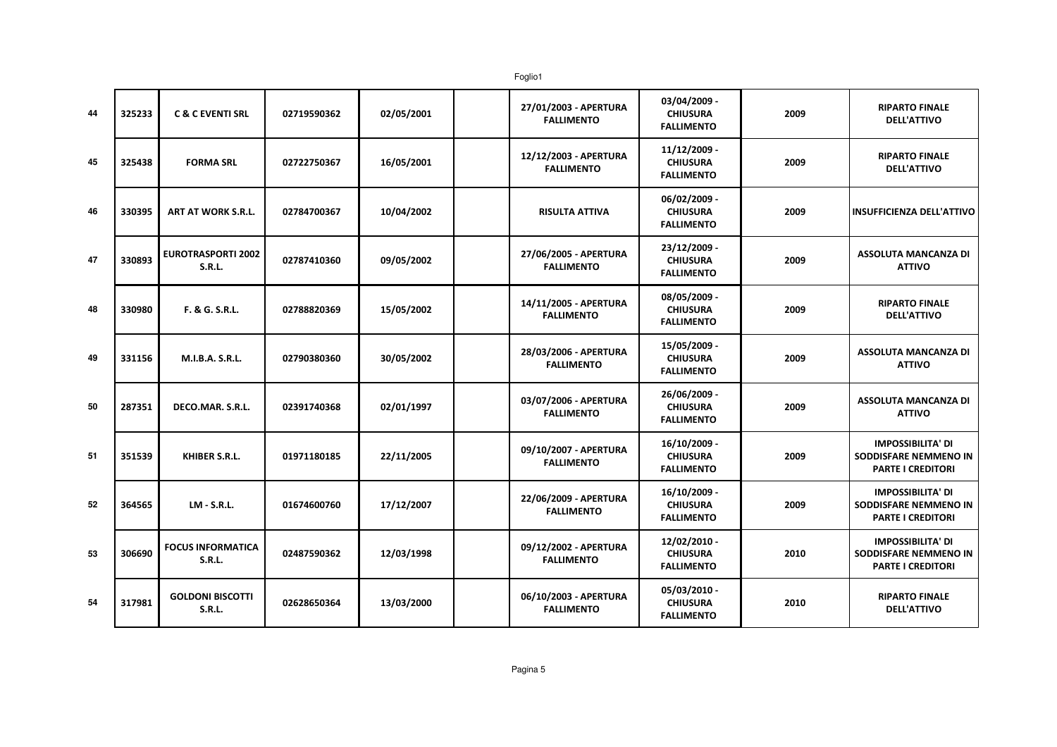Foglio1

| 44 | 325233 | <b>C &amp; C EVENTI SRL</b>                | 02719590362 | 02/05/2001 | 27/01/2003 - APERTURA<br><b>FALLIMENTO</b> | 03/04/2009 -<br><b>CHIUSURA</b><br><b>FALLIMENTO</b> | 2009 | <b>RIPARTO FINALE</b><br><b>DELL'ATTIVO</b>                                   |
|----|--------|--------------------------------------------|-------------|------------|--------------------------------------------|------------------------------------------------------|------|-------------------------------------------------------------------------------|
| 45 | 325438 | <b>FORMA SRL</b>                           | 02722750367 | 16/05/2001 | 12/12/2003 - APERTURA<br><b>FALLIMENTO</b> | 11/12/2009 -<br><b>CHIUSURA</b><br><b>FALLIMENTO</b> | 2009 | <b>RIPARTO FINALE</b><br><b>DELL'ATTIVO</b>                                   |
| 46 | 330395 | ART AT WORK S.R.L.                         | 02784700367 | 10/04/2002 | <b>RISULTA ATTIVA</b>                      | 06/02/2009 -<br><b>CHIUSURA</b><br><b>FALLIMENTO</b> | 2009 | <b>INSUFFICIENZA DELL'ATTIVO</b>                                              |
| 47 | 330893 | <b>EUROTRASPORTI 2002</b><br><b>S.R.L.</b> | 02787410360 | 09/05/2002 | 27/06/2005 - APERTURA<br><b>FALLIMENTO</b> | 23/12/2009 -<br><b>CHIUSURA</b><br><b>FALLIMENTO</b> | 2009 | <b>ASSOLUTA MANCANZA DI</b><br><b>ATTIVO</b>                                  |
| 48 | 330980 | F. & G. S.R.L.                             | 02788820369 | 15/05/2002 | 14/11/2005 - APERTURA<br><b>FALLIMENTO</b> | 08/05/2009 -<br><b>CHIUSURA</b><br><b>FALLIMENTO</b> | 2009 | <b>RIPARTO FINALE</b><br><b>DELL'ATTIVO</b>                                   |
| 49 | 331156 | <b>M.I.B.A. S.R.L.</b>                     | 02790380360 | 30/05/2002 | 28/03/2006 - APERTURA<br><b>FALLIMENTO</b> | 15/05/2009 -<br><b>CHIUSURA</b><br><b>FALLIMENTO</b> | 2009 | <b>ASSOLUTA MANCANZA DI</b><br><b>ATTIVO</b>                                  |
| 50 | 287351 | DECO.MAR. S.R.L.                           | 02391740368 | 02/01/1997 | 03/07/2006 - APERTURA<br><b>FALLIMENTO</b> | 26/06/2009 -<br><b>CHIUSURA</b><br><b>FALLIMENTO</b> | 2009 | <b>ASSOLUTA MANCANZA DI</b><br><b>ATTIVO</b>                                  |
| 51 | 351539 | <b>KHIBER S.R.L.</b>                       | 01971180185 | 22/11/2005 | 09/10/2007 - APERTURA<br><b>FALLIMENTO</b> | 16/10/2009 -<br><b>CHIUSURA</b><br><b>FALLIMENTO</b> | 2009 | <b>IMPOSSIBILITA' DI</b><br>SODDISFARE NEMMENO IN<br><b>PARTE I CREDITORI</b> |
| 52 | 364565 | <b>LM - S.R.L.</b>                         | 01674600760 | 17/12/2007 | 22/06/2009 - APERTURA<br><b>FALLIMENTO</b> | 16/10/2009 -<br><b>CHIUSURA</b><br><b>FALLIMENTO</b> | 2009 | <b>IMPOSSIBILITA' DI</b><br>SODDISFARE NEMMENO IN<br><b>PARTE I CREDITORI</b> |
| 53 | 306690 | <b>FOCUS INFORMATICA</b><br><b>S.R.L.</b>  | 02487590362 | 12/03/1998 | 09/12/2002 - APERTURA<br><b>FALLIMENTO</b> | 12/02/2010 -<br><b>CHIUSURA</b><br><b>FALLIMENTO</b> | 2010 | <b>IMPOSSIBILITA' DI</b><br>SODDISFARE NEMMENO IN<br><b>PARTE I CREDITORI</b> |
| 54 | 317981 | <b>GOLDONI BISCOTTI</b><br><b>S.R.L.</b>   | 02628650364 | 13/03/2000 | 06/10/2003 - APERTURA<br><b>FALLIMENTO</b> | 05/03/2010 -<br><b>CHIUSURA</b><br><b>FALLIMENTO</b> | 2010 | <b>RIPARTO FINALE</b><br><b>DELL'ATTIVO</b>                                   |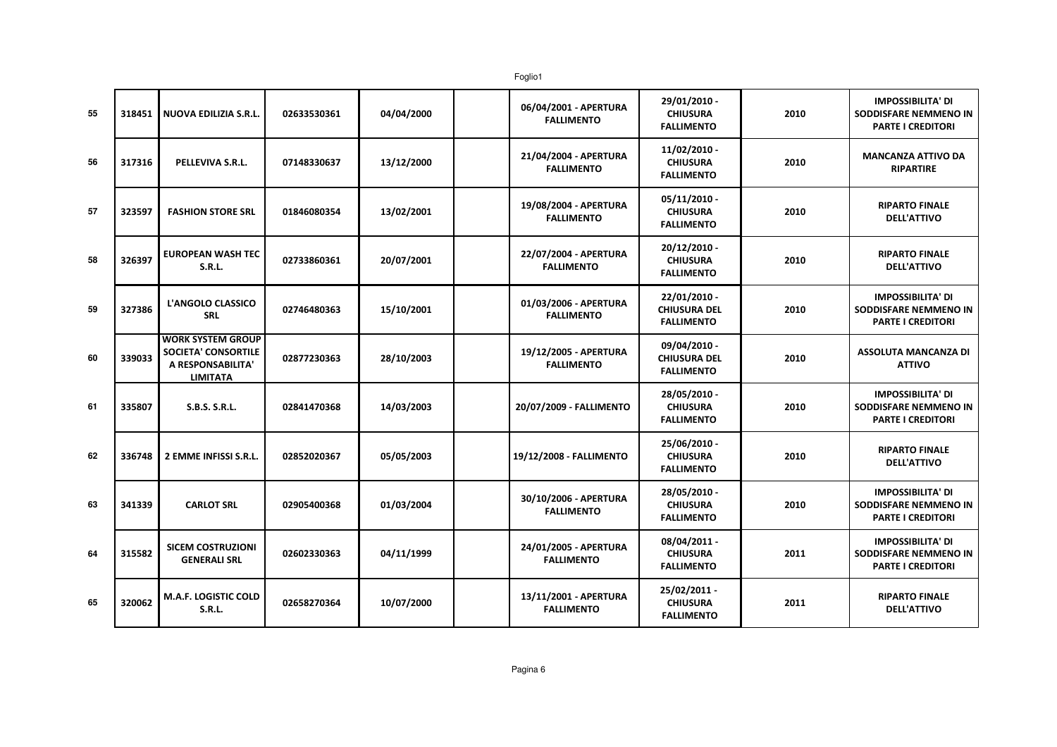| 55 | 318451 | NUOVA EDILIZIA S.R.L.                                                                   | 02633530361 | 04/04/2000 | 06/04/2001 - APERTURA<br><b>FALLIMENTO</b> | 29/01/2010 -<br><b>CHIUSURA</b><br><b>FALLIMENTO</b>     | 2010 | <b>IMPOSSIBILITA' DI</b><br>SODDISFARE NEMMENO IN<br><b>PARTE I CREDITORI</b>        |
|----|--------|-----------------------------------------------------------------------------------------|-------------|------------|--------------------------------------------|----------------------------------------------------------|------|--------------------------------------------------------------------------------------|
| 56 | 317316 | PELLEVIVA S.R.L.                                                                        | 07148330637 | 13/12/2000 | 21/04/2004 - APERTURA<br><b>FALLIMENTO</b> | 11/02/2010 -<br><b>CHIUSURA</b><br><b>FALLIMENTO</b>     | 2010 | <b>MANCANZA ATTIVO DA</b><br><b>RIPARTIRE</b>                                        |
| 57 | 323597 | <b>FASHION STORE SRL</b>                                                                | 01846080354 | 13/02/2001 | 19/08/2004 - APERTURA<br><b>FALLIMENTO</b> | $05/11/2010$ -<br><b>CHIUSURA</b><br><b>FALLIMENTO</b>   | 2010 | <b>RIPARTO FINALE</b><br><b>DELL'ATTIVO</b>                                          |
| 58 | 326397 | <b>EUROPEAN WASH TEC</b><br>S.R.L.                                                      | 02733860361 | 20/07/2001 | 22/07/2004 - APERTURA<br><b>FALLIMENTO</b> | 20/12/2010 -<br><b>CHIUSURA</b><br><b>FALLIMENTO</b>     | 2010 | <b>RIPARTO FINALE</b><br><b>DELL'ATTIVO</b>                                          |
| 59 | 327386 | L'ANGOLO CLASSICO<br><b>SRL</b>                                                         | 02746480363 | 15/10/2001 | 01/03/2006 - APERTURA<br><b>FALLIMENTO</b> | 22/01/2010 -<br><b>CHIUSURA DEL</b><br><b>FALLIMENTO</b> | 2010 | <b>IMPOSSIBILITA' DI</b><br><b>SODDISFARE NEMMENO IN</b><br><b>PARTE I CREDITORI</b> |
| 60 | 339033 | <b>WORK SYSTEM GROUP</b><br>SOCIETA' CONSORTILE<br>A RESPONSABILITA'<br><b>LIMITATA</b> | 02877230363 | 28/10/2003 | 19/12/2005 - APERTURA<br><b>FALLIMENTO</b> | 09/04/2010 -<br><b>CHIUSURA DEL</b><br><b>FALLIMENTO</b> | 2010 | <b>ASSOLUTA MANCANZA DI</b><br><b>ATTIVO</b>                                         |
| 61 | 335807 | S.B.S. S.R.L.                                                                           | 02841470368 | 14/03/2003 | 20/07/2009 - FALLIMENTO                    | 28/05/2010 -<br><b>CHIUSURA</b><br><b>FALLIMENTO</b>     | 2010 | <b>IMPOSSIBILITA' DI</b><br>SODDISFARE NEMMENO IN<br><b>PARTE I CREDITORI</b>        |
| 62 | 336748 | 2 EMME INFISSI S.R.L.                                                                   | 02852020367 | 05/05/2003 | 19/12/2008 - FALLIMENTO                    | 25/06/2010 -<br><b>CHIUSURA</b><br><b>FALLIMENTO</b>     | 2010 | <b>RIPARTO FINALE</b><br><b>DELL'ATTIVO</b>                                          |
| 63 | 341339 | <b>CARLOT SRL</b>                                                                       | 02905400368 | 01/03/2004 | 30/10/2006 - APERTURA<br><b>FALLIMENTO</b> | 28/05/2010 -<br><b>CHIUSURA</b><br><b>FALLIMENTO</b>     | 2010 | <b>IMPOSSIBILITA' DI</b><br>SODDISFARE NEMMENO IN<br><b>PARTE I CREDITORI</b>        |
| 64 | 315582 | <b>SICEM COSTRUZIONI</b><br><b>GENERALI SRL</b>                                         | 02602330363 | 04/11/1999 | 24/01/2005 - APERTURA<br><b>FALLIMENTO</b> | 08/04/2011 -<br><b>CHIUSURA</b><br><b>FALLIMENTO</b>     | 2011 | <b>IMPOSSIBILITA' DI</b><br>SODDISFARE NEMMENO IN<br><b>PARTE I CREDITORI</b>        |
| 65 | 320062 | M.A.F. LOGISTIC COLD<br><b>S.R.L.</b>                                                   | 02658270364 | 10/07/2000 | 13/11/2001 - APERTURA<br><b>FALLIMENTO</b> | 25/02/2011 -<br><b>CHIUSURA</b><br><b>FALLIMENTO</b>     | 2011 | <b>RIPARTO FINALE</b><br><b>DELL'ATTIVO</b>                                          |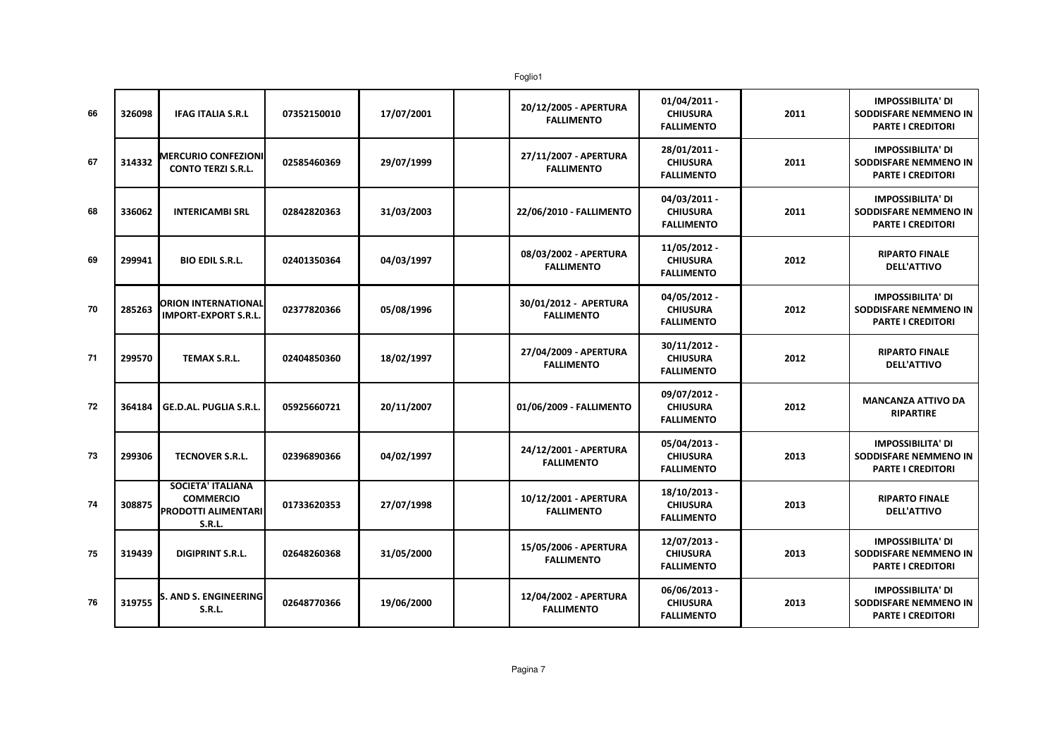| 66 | 326098 | <b>IFAG ITALIA S.R.L</b>                                                                    | 07352150010 | 17/07/2001 | 20/12/2005 - APERTURA<br><b>FALLIMENTO</b> | $01/04/2011$ -<br><b>CHIUSURA</b><br><b>FALLIMENTO</b> | 2011 | <b>IMPOSSIBILITA' DI</b><br>SODDISFARE NEMMENO IN<br><b>PARTE I CREDITORI</b> |
|----|--------|---------------------------------------------------------------------------------------------|-------------|------------|--------------------------------------------|--------------------------------------------------------|------|-------------------------------------------------------------------------------|
| 67 | 314332 | <b>MERCURIO CONFEZIONI</b><br><b>CONTO TERZI S.R.L.</b>                                     | 02585460369 | 29/07/1999 | 27/11/2007 - APERTURA<br><b>FALLIMENTO</b> | 28/01/2011 -<br><b>CHIUSURA</b><br><b>FALLIMENTO</b>   | 2011 | <b>IMPOSSIBILITA' DI</b><br>SODDISFARE NEMMENO IN<br><b>PARTE I CREDITORI</b> |
| 68 | 336062 | <b>INTERICAMBI SRL</b>                                                                      | 02842820363 | 31/03/2003 | 22/06/2010 - FALLIMENTO                    | 04/03/2011 -<br><b>CHIUSURA</b><br><b>FALLIMENTO</b>   | 2011 | <b>IMPOSSIBILITA' DI</b><br>SODDISFARE NEMMENO IN<br><b>PARTE I CREDITORI</b> |
| 69 | 299941 | <b>BIO EDIL S.R.L.</b>                                                                      | 02401350364 | 04/03/1997 | 08/03/2002 - APERTURA<br><b>FALLIMENTO</b> | 11/05/2012 -<br><b>CHIUSURA</b><br><b>FALLIMENTO</b>   | 2012 | <b>RIPARTO FINALE</b><br><b>DELL'ATTIVO</b>                                   |
| 70 | 285263 | <b>ORION INTERNATIONAL</b><br><b>IMPORT-EXPORT S.R.L.</b>                                   | 02377820366 | 05/08/1996 | 30/01/2012 - APERTURA<br><b>FALLIMENTO</b> | 04/05/2012 -<br><b>CHIUSURA</b><br><b>FALLIMENTO</b>   | 2012 | <b>IMPOSSIBILITA' DI</b><br>SODDISFARE NEMMENO IN<br><b>PARTE I CREDITORI</b> |
| 71 | 299570 | <b>TEMAX S.R.L.</b>                                                                         | 02404850360 | 18/02/1997 | 27/04/2009 - APERTURA<br><b>FALLIMENTO</b> | 30/11/2012 -<br><b>CHIUSURA</b><br><b>FALLIMENTO</b>   | 2012 | <b>RIPARTO FINALE</b><br><b>DELL'ATTIVO</b>                                   |
| 72 | 364184 | GE.D.AL. PUGLIA S.R.L.                                                                      | 05925660721 | 20/11/2007 | 01/06/2009 - FALLIMENTO                    | 09/07/2012 -<br><b>CHIUSURA</b><br><b>FALLIMENTO</b>   | 2012 | <b>MANCANZA ATTIVO DA</b><br><b>RIPARTIRE</b>                                 |
| 73 | 299306 | TECNOVER S.R.L.                                                                             | 02396890366 | 04/02/1997 | 24/12/2001 - APERTURA<br><b>FALLIMENTO</b> | 05/04/2013 -<br><b>CHIUSURA</b><br><b>FALLIMENTO</b>   | 2013 | <b>IMPOSSIBILITA' DI</b><br>SODDISFARE NEMMENO IN<br>PARTE I CREDITORI        |
| 74 | 308875 | <b>SOCIETA' ITALIANA</b><br><b>COMMERCIO</b><br><b>PRODOTTI ALIMENTARI</b><br><b>S.R.L.</b> | 01733620353 | 27/07/1998 | 10/12/2001 - APERTURA<br><b>FALLIMENTO</b> | 18/10/2013 -<br><b>CHIUSURA</b><br><b>FALLIMENTO</b>   | 2013 | <b>RIPARTO FINALE</b><br><b>DELL'ATTIVO</b>                                   |
| 75 | 319439 | <b>DIGIPRINT S.R.L.</b>                                                                     | 02648260368 | 31/05/2000 | 15/05/2006 - APERTURA<br><b>FALLIMENTO</b> | 12/07/2013 -<br><b>CHIUSURA</b><br><b>FALLIMENTO</b>   | 2013 | <b>IMPOSSIBILITA' DI</b><br>SODDISFARE NEMMENO IN<br><b>PARTE I CREDITORI</b> |
| 76 | 319755 | S. AND S. ENGINEERING<br><b>S.R.L.</b>                                                      | 02648770366 | 19/06/2000 | 12/04/2002 - APERTURA<br><b>FALLIMENTO</b> | 06/06/2013 -<br><b>CHIUSURA</b><br><b>FALLIMENTO</b>   | 2013 | <b>IMPOSSIBILITA' DI</b><br>SODDISFARE NEMMENO IN<br><b>PARTE I CREDITORI</b> |